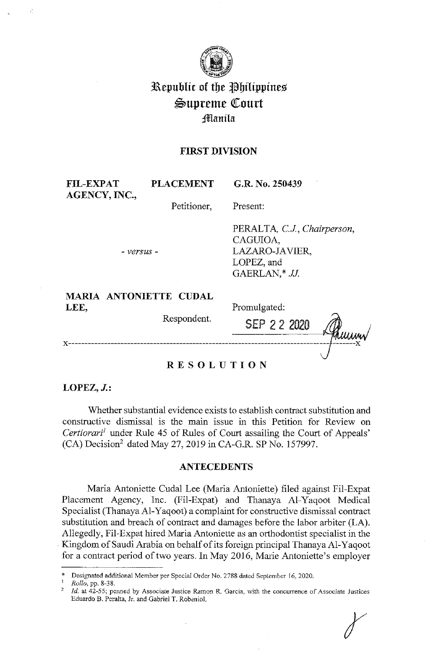

# **3Republic of tbe lE!bilippines**   $\mathcal{L}$ upreme Court ;!flllan **ila**

## **FIRST DIVISION**

FIL-EXPAT PLACEMENT G.R. No. 250439 **AGENCY, INC.,**  Petitioner, - *versus* - **MARIA ANTONIETTE CUDAL LEE,**  Respondent. Present: PERALTA, *C.J, Chairperson,*  CAGUIOA, LAZARO-JAVIER, LOPEZ, and GAERLAN,\* JJ. Promulgated: SEP 2 2 2020 x--------------------------------------~--J--'-------x **RESOLUTION** 

**LOPEZ, J.:** 

Whether substantial evidence exists to establish contract substitution and constructive dismissal is the main issue in this Petition for Review on *Certiorari<sup>1</sup>* under Rule 45 of Rules of Court assailing the Court of Appeals'  $(CA)$  Decision<sup>2</sup> dated May 27, 2019 in CA-G.R. SP No. 157997.

### **ANTECEDENTS**

Maria Antoniette Cudal Lee (Maria Antoniette) filed against Fil-Expat Placement Agency, Inc. (Fil-Expat) and Thanaya Al-Yaqoot Medical Specialist (Thanaya Al-Yaqoot) a complaint for constructive dismissal contract substitution and breach of contract and damages before the labor arbiter (LA). Allegedly, Fil-Expat hired Maria Antoniette as an orthodontist specialist in the . Kingdom of Saudi Arabia on behalf of its foreign principal Thanaya Al-Yaqoot for a contract period of two years. In May 2016, Marie Antoniette's employer

<sup>\*</sup> Designated additional Member per Special Order No. 2788 dated Sepiember 16, 2020. 1 *Rollo,* pp. 8-38.

*Id.* at 42-55; penned by Associate Justice Ramon R. Garcia, with the concurrence of Associate Justices Eduardo B. Peralta, Jr. and Gabriel T. Robeniol.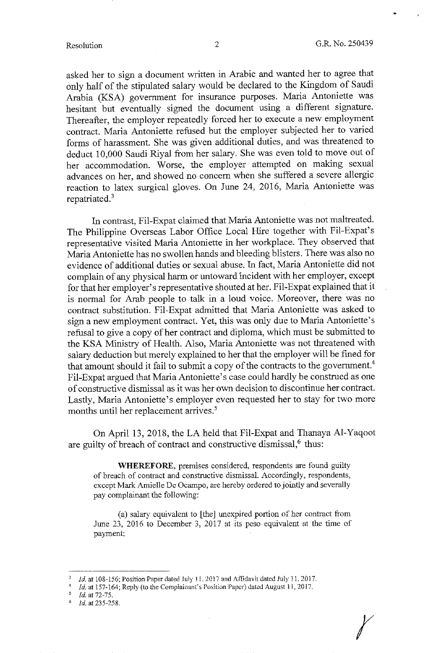•

r

asked her to sign a document written in Arabic and wanted her to agree that only half of the stipulated salary would be declared to the Kingdom of Saudi Arabia (KSA) government for insurance purposes. Maria Antoniette was hesitant but eventually signed the document using a different signature. Thereafter, the employer repeatedly forced her to execute a new employment contract. Maria Antoniette refused but the employer subjected her to varied forms of harassment. She was given additional duties, and was threatened to deduct 10,000 Saudi Riyal from her salary. She was even told to move out of her accommodation. Worse, the employer attempted on making sexual advances on her, and showed no concern when she suffered a severe allergic reaction to latex surgical gloves. On June 24, 2016, Maria Antoniette was repatriated.<sup>3</sup>

In contrast, Fil-Expat claimed that Maria Antoniette was not maltreated. The Philippine Overseas Labor Office Local Hire together with Fil-Expat's representative visited Maria Antoniette in her workplace. They observed that Maria Antoniette has no swollen hands and bleeding blisters. There was also no evidence of additional duties or sexual abuse. In fact, Maria Antoniette did not complain of any physical harm or untoward lncident with her employer, except for that her employer's representative shouted at her. Fil-Expat explained that it is normal for Arab people to talk in a loud voice. Moreover, there was no contract substitution. Fil-Expat admitted that Maria Antoniette was asked to sign a new employment contract. Yet, this was only due to Maria Antoniette's refusal to give a copy of her contract and diploma, which must be submitted to the KSA Ministry of Health. Also, Maria Antoniette was not threatened with salary deduction but merely explained to her that the employer will be fined for that amount should it fail to submit a copy of the contracts to the government.<sup>4</sup> Fil-Expat argued that Maria Antoniette's case could hardly be construed as one of constructive dismissal as it was her own decision to discontinue her contract. Lastly, Maria Antoniette's employer even requested her to stay for two more months until her replacement arrives.<sup>5</sup>

On April 13, 2018, the LA held that Fil-Expat and Thanaya Al-Yaqoot are guilty of breach of contract and constructive dismissal, $<sup>6</sup>$  thus:</sup>

**WHEREFORE,** premises considered, respondents are found guilty of breach of contract and constructive dismissal. Accordingly, respondents, except Mark Amielle De Ocampo, are hereby ordered to jointly and severally pay complainant the following:

(a) salary equivalent to [the] unexpired portion of her contract from June 23, 2016 to December 3, 2017 at its peso equivalent at the time of payment:

 $\frac{5}{6}$  *Id.* at 72-75.

<sup>1</sup>d. at 108-156; Position Paper dated July 11, 2017 and Affidavit dated July 11, 2017.

*Id.* at 157-164; Reply (to the Complainant's Position Paper) dated August 11, 2017.

<sup>6</sup>*id.* at 235-258.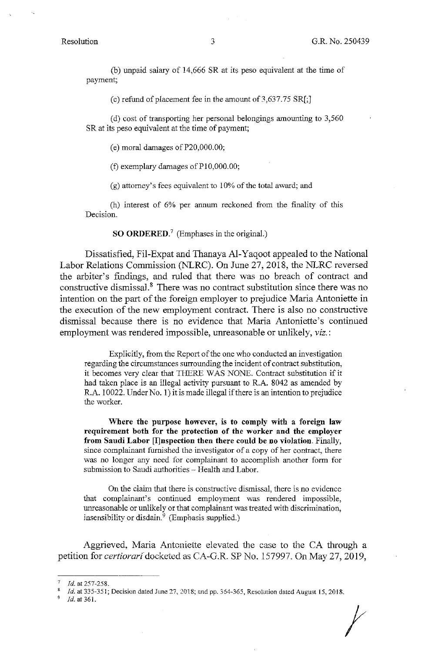(b) unpaid salary of 14,666 SR at its peso equivalent at the time of payment;

(c) refund of placement fee in the amount of  $3,637.75 \text{ SR}$ ;

( d) cost of transporting her personal belongings amounting to 3,560 SR at its peso equivalent at the time of payment;

(e) moral damages of P20,000.00;

(f) exemplary damages of  $P10,000.00$ ;

(g) attorney's fees equivalent to 10% of the total award; and

(h) interest of 6% per annum reckoned from the finality of this Decision.

**SO ORDERED.<sup>7</sup>**(Emphases in the original.)

Dissatisfied, Fil-Expat and Thanaya Al-Yaqoot appealed to the National Labor Relations Commission (NLRC). On June 27, 2018, the NLRC reversed the arbiter's findings, and ruled that there was no breach of contract and constructive dismissal.<sup>8</sup> There was no contract substitution since there was no intention on the part of the foreign employer to prejudice Maria Antoniette in the execution of the new employment contract. There is also no constructive dismissal because there is no evidence that Maria Antoniette's continued employment was rendered impossible, unreasonable or unlikely, *viz.:* 

Explicitly, from the Report of the one who conducted an investigation regarding the circumstances surrounding the incident of contract substitution, it becomes very clear that THERE WAS NONE. Contract substitution if it had taken place is an illegal activity pursuant to R.A. 8042 as amended by R.A. 10022. Under No. 1) it is made illegal ifthere is an intention to prejudice the worker.

**Where the purpose however, is to comply with a foreign law requirement both for the protection of the worker and the employer from Saudi Labor [l]nspection then there could be no violation.** Finally, since complainant furnished the investigator of a copy of her contract, there was no longer any need for complainant to accomplish another form for submission to Saudi authorities - Health and Labor.

On the claim that there is constructive dismissal, there is no evidence that complainant's continued employment was rendered impossible, unreasonable or unlikely or that complainant was treated with discrimination, insensibility or disdain. $9$  (Emphasis supplied.)

Aggrieved, Maria Antoniette elevated the case to the CA through a petition for *certiorari* docketed as CA-G.R. SP No. 157997. On May 27, 2019,

Id. at 361.

*t* 

<sup>7</sup>*Id.* at 257-258.

*Id.* at 335-351; Decision dated June 27, 2018; and pp. 364-365, Resolution dated August 15, 2018.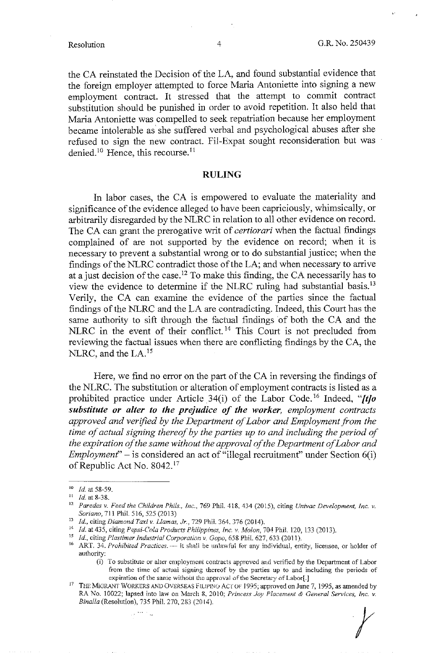the CA reinstated the Decision of the LA, and found substantial evidence that the foreign employer attempted to force Maria Antoniette into signing a new employment contract. It stressed that the attempt to commit contract substitution should be punished in order to avoid repetition. It also held that Maria Antoniette was compelled to seek repatriation because her employment became intolerable as she suffered verbal and psychological abuses after she refused to sign the new contract. Fil-Expat sought reconsideration but was denied.<sup>10</sup> Hence, this recourse.<sup>11</sup>

#### **RULING**

In labor cases, the CA is empowered to evaluate the materiality and significance of the evidence alleged to have been capriciously, whimsically, or arbitrarily disregarded by the NLRC in relation to all other evidence on record. The CA can grant the prerogative writ of *certiorari* when the factual findings complained of are not supported by the evidence on record; when it is necessary to prevent a substantial wrong or to do substantial justice; when the findings of the NLRC contradict those of the LA; and when necessary to arrive at a just decision of the case. 12 To make this finding, the CA necessarily has to view the evidence to determine if the NLRC ruling had substantial basis. <sup>13</sup> Verily, the CA can examine the evidence of the parties since the factual findings of the NLRC and the LA are contradicting. Indeed, this Court has the same authority to sift through the factual findings of both the CA and the NLRC in the event of their conflict.<sup>14</sup> This Court is not precluded from reviewing the factual issues when there are conflicting findings by the CA, the NLRC, and the LA.<sup>15</sup>

Here, we find no error on the part of the CA in reversing the findings of the NLRC. The substitution or alteration of employment contracts is listed as a prohibited practice under Article 34(i) of the Labor Code.<sup>16</sup> Indeed, "[t]o *substitute or alter to the prejudice of the worker, employment contracts approved and verified by the Department of Labor and Employment from the time of actual signing thereof by the parties up to and including the period of the expiration of the same without the approval of the Department of Labor and Employment*" – is considered an act of "illegal recruitment" under Section 6(i) of Republic Act No. 8042. <sup>17</sup>

ل<br>ويا 1999 كان

*t* 

<sup>10</sup> *Id.* at 58-59.

<sup>11</sup> *Id.* at 8-38.

<sup>12</sup>*Paredes v. Feed the Children Phils., Inc.,* 769 Phil. 418. 434 (2015), citing *Univac Development, Inc. v.*  Soriano, 711 Phil. 516, 525 (2013)

<sup>13</sup>*Id.,* citing *Diamond Taxi v. Llamas, Jr.,* 729 Phii. 364. 376 (2014).

<sup>&</sup>lt;sup>14</sup> *Id.* at 435, citing *Pepsi-Cola Products Philippines, Inc. v. Molon, 704 Phil. 120, 133 (2013).*<br><sup>15</sup> *Id.*, citing *Plastimer Industrial Corporation v. Gopo*, 658 Phil. 627, 633 (2011).

<sup>&</sup>lt;sup>16</sup> ART. 34. *Prohibited Practices.* -- It shall be unlawful for any individual, entity, licensee, or holder of authority:

<sup>(</sup>i) To substitute or alter employment contracts approved and verified by the Department of Labor from the time of actual signing thereof by the parties up to and including the periods of expiration of the sanie without the approval of the Secretary of Labor[.]

<sup>&</sup>lt;sup>17</sup> THE MIGRANT WORKERS AND OVERSEAS FILIPINO ACT OF 1995; approved on June 7, 1995, as amended by RA No. 10022; lapsed into law on March 8, 2010; *Princess Joy Placement & General Services, Inc. v. Bina/la* (Resolution), 735 Phil. 270,283(2014).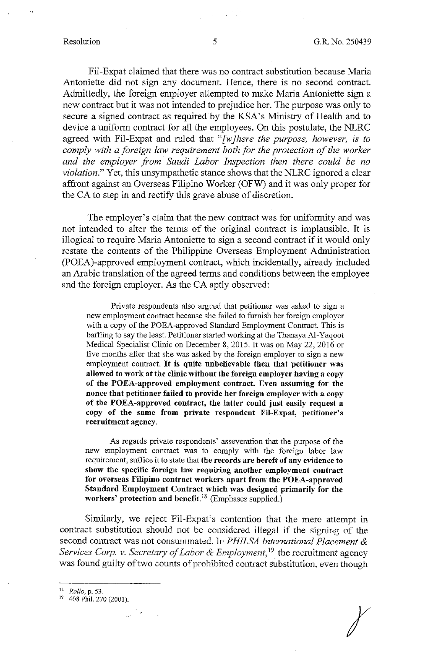Fil-Expat claimed that there was no contract substitution because Maria Antoniette did not sign any document. Hence, there is no second contract. Admittedly, the foreign employer attempted to make Maria Antoniette sign a new contract but it was not intended to prejudice her. The purpose was only to secure a signed contract as required by the KSA's Ministry of Health and to device a uniform contract for all the employees. On this postulate, the NLRC agreed with Fil-Expat and ruled that *"[w]here the purpose, however, is to comply with a foreign law requirement both for the protection of the worker and the employer from Saudi Labor Inspection then there could be no violation."* Yet, this unsympathetic stance shows that the NLRC ignored a clear affront against an Overseas Filipino Worker (OFW) and it was only proper for the CA to step in and rectify this grave abuse of discretion.

The employer's claim that the new contract was for uniformity and was not intended to alter the terms of the original contract is implausible. It is illogical to require Maria Antoniette to sign a second contract if it would only restate the contents of the Philippine Overseas Employment Administration (POEA)-approved employment contract, which incidentally, already included an Arabic translation of the agreed terms and conditions between the employee and the foreign employer. As the CA aptly observed:

Private respondents also argued that petitioner was asked to sign a new employment contract because she failed to furnish her foreign employer with a copy of the POEA-approved Standard Employment Contract. This is baffling to say the least. Petitioner started working at the Thanaya Al-Yaqoot Medical Specialist Clinic on December 8, 2015. It was on May 22, 2016 or five months after that she was asked by the foreign employer to sign a new employment contract. It **is quite unbelievable then that petitioner was allowed to work at the clinic without the foreign employer having a copy of the POEA-approved employment contract. Even assuming for the nonce that petitioner failed to provide her foreign employer with a copy of the POEA-approved contract, the latter could just easily request a copy of the same from private respondent Fil-Expat, petitioner's recruitment agency.** 

As regards private respondents' asseveration that the purpose of the new employment contract was to comply with the foreign labor law requirement, suffice it to state that **the records are bereft of any evidence to show the specific foreign law requiring another employment contract for overseas Filipino contract workers apart from the POEA-approved Standard Employment Contract which was designed primarily for the workers' protection and benefit. <sup>18</sup>**(Emphases supplied.)

Similarly, we reject Fil-Expat's contention that the mere attempt in contract substitution should not be considered illegal if the signing of the second contract was not consummated. ln *PHJLSA international Placement & Services Corp. v. Secretary of Labor & Employment,* 19 the recruitment agency was found guilty of two counts of prohibited contract substitution, even though

 $\chi$ 

<sup>&</sup>lt;sup>18</sup> *Rollo*, p. 53.<br><sup>19</sup> 408 Phil. 270 (2001).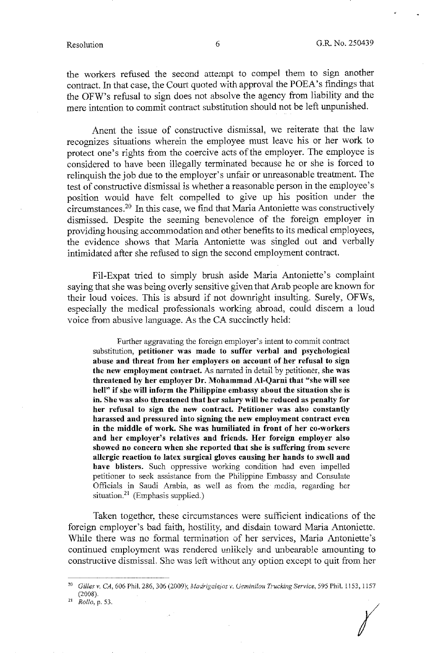the workers refused the second attempt to compel them to sign another contract. In that case, the Court quoted with approval the POEA's findings that the OFW's refusal to sign does not absolve the agency from liability and the mere intention to commit contract substitution should not be left unpunished.

Anent the issue of constructive dismissal, we reiterate that the law recognizes situations wherein the employee must leave his or her work to protect one's rights from the coercive acts of the employer. The employee is considered to have been illegally terminated because he or she is forced to relinquish the job due to the employer's unfair or unreasonable treatment. The test of constructive dismissal is whether a reasonable person in the employee's position would have felt compelled to give up his position under the circumstances.20 In this case, we find that Maria Antoniette was constructively dismissed. Despite the seeming benevolence of the foreign employer in providing housing accommodation and other benefits to its medical employees, the evidence shows that Maria Antoniette was singled out and verbally intimidated after she refused to sign the second employment contract.

Fil-Expat tried to simply brush aside Maria Antoniette's complaint saying that she was being overly sensitive given that Arab people are known for their loud voices. This is absurd if not downright insulting. Surely, OFWs, especially the medical professionals working abroad, could discern a loud voice from abusive language. As the CA succinctly held:

Further aggravating the foreign employer's intent to commit contract substitution, **petitioner was made to suffer verbal and psychological abuse and threat from her employers on account of her refusal to sign the new employment contract.** As narrated in detail by petitioner, **she was threatened by her employer Dr. Mohammad Al-Qarni that "she will see hell" if she will inform the Philippine embassy about the situation she is**  in. **She was also threatened that her salary will be reduced as penalty for her refusal to sign the new contract. Petitioner was also constantly harassed and pressured into signing the new employment contract even in the middle of work. She was humiliated in front of her co-workers and her employer's relatives and friends. Her foreign employer also showed no concern when she reported that she is suffering from severe allergic reaction to latex surgical gloves causing her hands to swell and have blisters.** Such oppressive working condition had even impelled petitioner to seek assistance from the Philippine Embassy and Consulate Officials in Saudi Arabia, as well as from the media, regarding her situation. $^{21}$  (Emphasis supplied.)

Taken together, these circumstances were sufficient indications of the foreign employer's bad faith, hostility, and disdain toward Maria Antoniette. While there was no formal termination of her services, Maria Antoniette's continued employment was rendered unlikely and unbearable amounting to constructive dismissal. She was left without any option except to quit from her

*(* 

<sup>20</sup>*Gilles v. CA;* 606 Phil. 286, 306 (2009); *A1adrigc:lefos* v. *(Jcminilou Trucking Service,* 595 Phil. 1153, 1157 (2008). 21 *Rollo,* p. 53.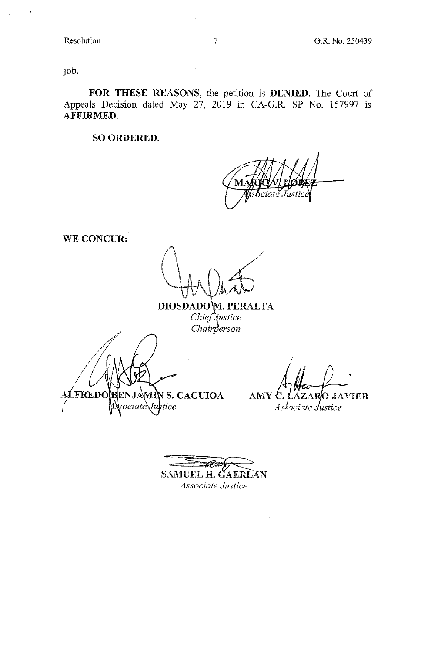job.

**FOR THESE REASONS,** the petition is **DENIED.** The Court of Appeals Decision dated May 27, 2019 in CA-G.R. SP No. 157997 is AFFIRMED.

**SO ORDERED.** 

ciate Justice

**WE CONCUR:** 

**DIOSDADO M. PERALTA** *Chief* Vustice *Chairperson* 

FREDO **BENJAMIN S. CAGUIOA** sociate\ Justice

AMY C. O-JAVIER AZAR

Associate Justice

 $\overline{\phantom{a}}$ SAMUEL H. GAERLAN *Associate Justice*